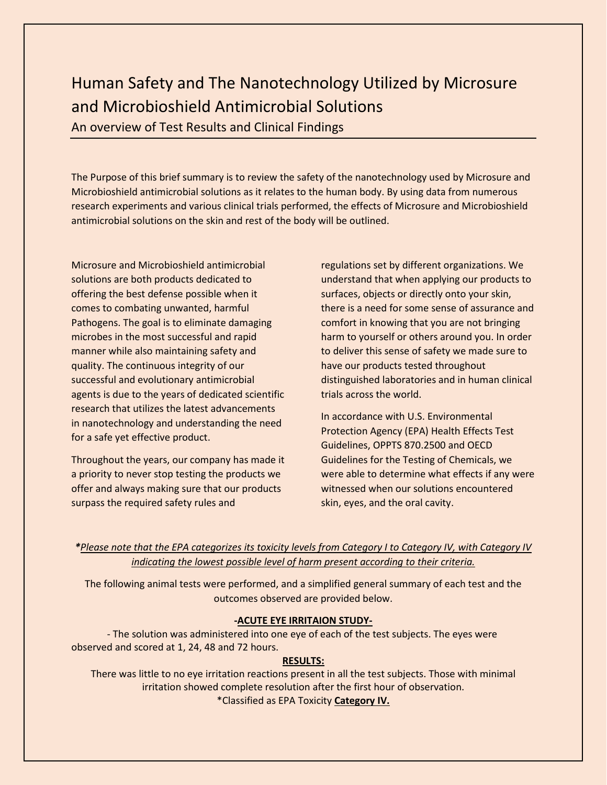# Human Safety and The Nanotechnology Utilized by Microsure and Microbioshield Antimicrobial Solutions

An overview of Test Results and Clinical Findings

The Purpose of this brief summary is to review the safety of the nanotechnology used by Microsure and Microbioshield antimicrobial solutions as it relates to the human body. By using data from numerous research experiments and various clinical trials performed, the effects of Microsure and Microbioshield antimicrobial solutions on the skin and rest of the body will be outlined.

Microsure and Microbioshield antimicrobial solutions are both products dedicated to offering the best defense possible when it comes to combating unwanted, harmful Pathogens. The goal is to eliminate damaging microbes in the most successful and rapid manner while also maintaining safety and quality. The continuous integrity of our successful and evolutionary antimicrobial agents is due to the years of dedicated scientific research that utilizes the latest advancements in nanotechnology and understanding the need for a safe yet effective product.

Throughout the years, our company has made it a priority to never stop testing the products we offer and always making sure that our products surpass the required safety rules and

regulations set by different organizations. We understand that when applying our products to surfaces, objects or directly onto your skin, there is a need for some sense of assurance and comfort in knowing that you are not bringing harm to yourself or others around you. In order to deliver this sense of safety we made sure to have our products tested throughout distinguished laboratories and in human clinical trials across the world.

In accordance with U.S. Environmental Protection Agency (EPA) Health Effects Test Guidelines, OPPTS 870.2500 and OECD Guidelines for the Testing of Chemicals, we were able to determine what effects if any were witnessed when our solutions encountered skin, eyes, and the oral cavity.

# *\*Please note that the EPA categorizes its toxicity levels from Category I to Category IV, with Category IV indicating the lowest possible level of harm present according to their criteria.*

The following animal tests were performed, and a simplified general summary of each test and the outcomes observed are provided below.

# **-ACUTE EYE IRRITAION STUDY-**

- The solution was administered into one eye of each of the test subjects. The eyes were observed and scored at 1, 24, 48 and 72 hours.

# **RESULTS:**

There was little to no eye irritation reactions present in all the test subjects. Those with minimal irritation showed complete resolution after the first hour of observation. \*Classified as EPA Toxicity **Category IV.**